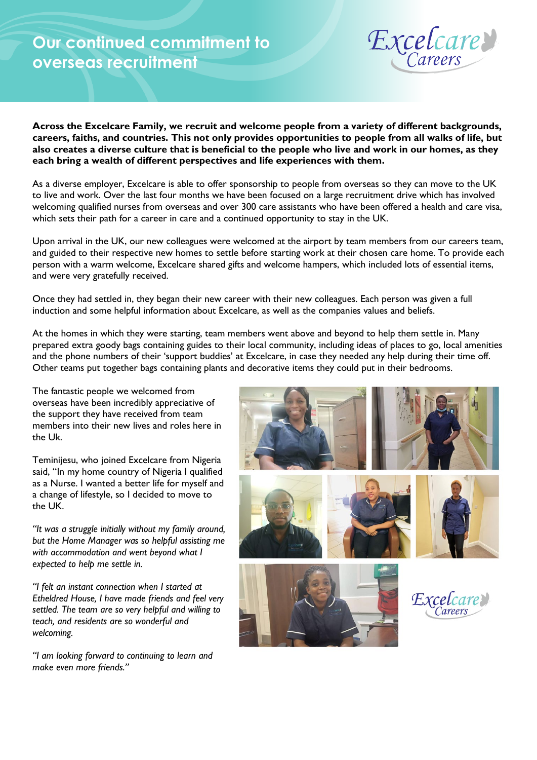## **Our continued commitment to overseas recruitment**



**Across the Excelcare Family, we recruit and welcome people from a variety of different backgrounds, careers, faiths, and countries. This not only provides opportunities to people from all walks of life, but also creates a diverse culture that is beneficial to the people who live and work in our homes, as they each bring a wealth of different perspectives and life experiences with them.**

As a diverse employer, Excelcare is able to offer sponsorship to people from overseas so they can move to the UK to live and work. Over the last four months we have been focused on a large recruitment drive which has involved welcoming qualified nurses from overseas and over 300 care assistants who have been offered a health and care visa, which sets their path for a career in care and a continued opportunity to stay in the UK.

Upon arrival in the UK, our new colleagues were welcomed at the airport by team members from our careers team, and guided to their respective new homes to settle before starting work at their chosen care home. To provide each person with a warm welcome, Excelcare shared gifts and welcome hampers, which included lots of essential items, and were very gratefully received.

Once they had settled in, they began their new career with their new colleagues. Each person was given a full induction and some helpful information about Excelcare, as well as the companies values and beliefs.

At the homes in which they were starting, team members went above and beyond to help them settle in. Many prepared extra goody bags containing guides to their local community, including ideas of places to go, local amenities and the phone numbers of their 'support buddies' at Excelcare, in case they needed any help during their time off. Other teams put together bags containing plants and decorative items they could put in their bedrooms.

The fantastic people we welcomed from overseas have been incredibly appreciative of the support they have received from team members into their new lives and roles here in the Uk.

Teminijesu, who joined Excelcare from Nigeria said, "In my home country of Nigeria I qualified as a Nurse. I wanted a better life for myself and a change of lifestyle, so I decided to move to the UK.

*"It was a struggle initially without my family around, but the Home Manager was so helpful assisting me with accommodation and went beyond what I expected to help me settle in.*

*"I felt an instant connection when I started at Etheldred House, I have made friends and feel very settled. The team are so very helpful and willing to teach, and residents are so wonderful and welcoming.*

*"I am looking forward to continuing to learn and make even more friends."*









*Excelcare*